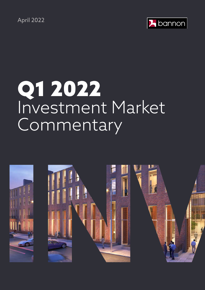April 2022



# Q1 2022 Investment Market **Commentary**



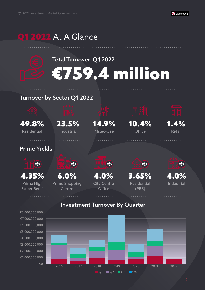

### **Q1 2022 At A Glance**



#### Investment Turnover By Quarter

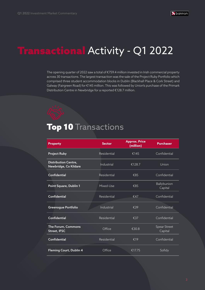## Transactional Activity - Q1 2022

The opening quarter of 2022 saw a total of €759.4 million invested in Irish commercial property across 30 transactions. The largest transaction was the sale of the Project Ruby Portfolio which comprised three student accommodation blocks in Dublin (Blackhall Place & Cork Street) and Galway (Fairgreen Road) for €145 million. This was followed by Union's purchase of the Primark Distribution Centre in Newbridge for a reported €128.7 million.



### Top 10 Transactions

| <b>Property</b>                                      | <b>Sector</b> | <b>Approx. Price</b><br>(million) | <b>Purchaser</b>               |
|------------------------------------------------------|---------------|-----------------------------------|--------------------------------|
| <b>Project Ruby</b>                                  | Residential   | €145                              | Confidential                   |
| <b>Distribution Centre,</b><br>Newbridge, Co Kildare | Industrial    | €128.7                            | Union                          |
| Confidential                                         | Residential   | €85                               | Confidential                   |
| Point Square, Dublin 1                               | Mixed-Use     | €85                               | Ballybunion<br>Capital         |
| Confidential                                         | Residential   | €47                               | Confidential                   |
| Greenogue Portfolio                                  | Industrial    | €39                               | Confidential                   |
| Confidential                                         | Residential   | €37                               | Confidential                   |
| The Forum, Commons<br>Street, IFSC                   | Office        | €30.8                             | <b>Spear Street</b><br>Capital |
| Confidential                                         | Residential   | €19                               | Confidential                   |
| Fleming Court, Dublin 4                              | Office        | €17.75                            | Sofidy                         |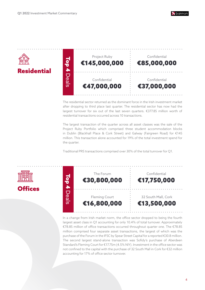





The residential sector returned as the dominant force in the Irish investment market after dropping to third place last quarter. The residential sector has now had the largest turnover for six out of the last seven quarters. €377.85 million worth of residential transactions occurred across 10 transactions.

The largest transaction of the quarter across all asset classes was the sale of the Project Ruby Portfolio which comprised three student accommodation blocks in Dublin (Blackhall Place & Cork Street) and Galway (Fairgreen Road) for €145 million. This transaction alone accounted for 19% of the total investment spend for the quarter.

Traditional PRS transactions comprised over 30% of the total tunrover for Q1.







In a change from Irish market norm, the office sector dropped to being the fourth largest asset class in Q1 accounting for only 10.4% of total turnover. Approximately €78.85 million of office transactions occurred throughout quarter one. The €78.85 million comprised four separate asset transactions, the largest of which was the purchase of the Forum in the IFSC by Spear Street Capital for a reported €30.8 million. The second largest stand-alone transaction was Sofidy's purchase of Aberdeen Standard's Fleming Court for €17.75m (4.5% NIY). Investment in the office sector was not confined to the capital with the purchase of 32 South Mall in Cork for €32 million accounting for 17% of office sector turnover.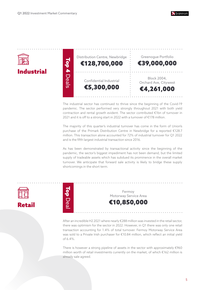



#### Industrial



The industrial sector has continued to thrive since the beginning of the Covid-19 pandemic. The sector performed very strongly throughout 2021 with both yield contraction and rental growth evident. The sector contributed €1bn of turnover in 2021 and it is off to a strong start in 2022 with a turnover of €178 million.

The majority of this quarter's industrial turnover has come in the form of Union's purchase of the Primark Distribution Centre in Newbridge for a reported €128.7 million. This transaction alone accounted for 72% of industrial turnover for Q1 2022 and is the fifth largest industrial transaction since 2016.

As has been demonstrated by transactional activity since the beginning of the pandemic, the sector's biggest impediment has not been demand, but the limited supply of tradeable assets which has subdued its prominence in the overall market turnover. We anticipate that forward sale activity is likely to bridge these supply shortcomings in the short term.





Fermoy Motorway Service Area €10,850,000

After an incredible H2 2021 where nearly €288 million was invested in the retail sector, there was optimism for the sector in 2022. However, in Q1 there was only one retail transaction accounting for 1.4% of total turnover. Fermoy Motorway Service Area was sold to a Private Irish purchaser for €10.84 million, which reflect an initial yield of 6.4%.

There is however a strong pipeline of assets in the sector with approximately €960 million worth of retail investments currently on the market, of which €162 million is already sale agreed.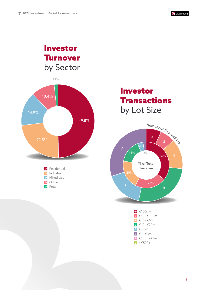

### Investor Turnover by Sector



### Investor **Transactions** by Lot Size



| $\rightarrow$ €100m+                          |
|-----------------------------------------------|
| $\rightarrow$ $\epsilon$ 50 - $\epsilon$ 100m |
| $\rightarrow$ €20 - €50m                      |
| $\rightarrow$ €10 - €20m                      |
| $\rightarrow$ $\in$ 3 - $\in$ 10m             |
| $\rightarrow$ $\in$ 1 - $\in$ 3m              |
| $\rightarrow$ $\in$ 500k - $\in$ 1m           |
| $\rightarrow$ < $\epsilon$ 500k               |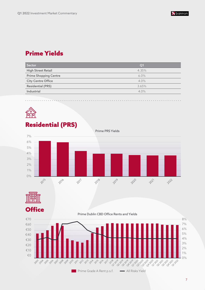

#### Prime Yields

| <b>Sector</b>                | O <sub>1</sub> |
|------------------------------|----------------|
| <b>High Street Retail</b>    | 4.35%          |
| <b>Prime Shopping Centre</b> | $6.0\%$        |
| <b>City Centre Office</b>    | $4.0\%$        |
| <b>Residential (PRS)</b>     | 3.65%          |
| Industrial                   | $4.0\%$        |



#### Residential (PRS)

7% 6% 5% 4% 3% 2% 1% 0% Prime PRS Yields 2015 2016 201 2018 2019 2020 2021 2022



**Office** 





7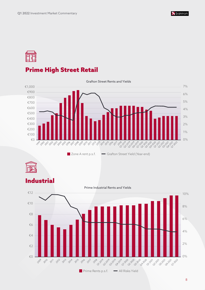



#### Prime High Street Retail



8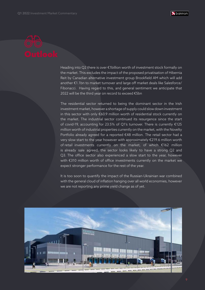



Heading into Q2 there is over €1billion worth of investment stock formally on the market. This excludes the impact of the proposed privatisation of Hibernia Reit by Canadian alternative investment group Brookfield AM which will add another €1.1bn to market turnover and large off market deals like Salesforce/ Fibonacci. Having regard to this, and general sentiment we anticipate that 2022 will be the third year on record to exceed €5bn

The residential sector returned to being the dominant sector in the Irish investment market, however a shortage of supply could slow down investment in this sector with only €60.9 million worth of residential stock currently on the market. The industrial sector continued its resurgence since the start of covid-19, accounting for 23.5% of Q1's turnover. There is currently €125 million worth of industrial properties currently on the market, with the Novelty Portfolio already agreed for a reported €48 million. The retail sector had a very slow start to the year however with approximately €219.6 million worth of retail investments currently on the market, of which €162 million is already sale agreed, the sector looks likely to have a strong Q2 and Q3. The office sector also experienced a slow start to the year, however with €310 million worth of office investments currently on the market we expect stronger performance for the rest of the year.

It is too soon to quantify the impact of the Russian-Ukrainian war combined with the general cloud of inflation hanging over all world economies, however we are not reporting any prime yield change as of yet.